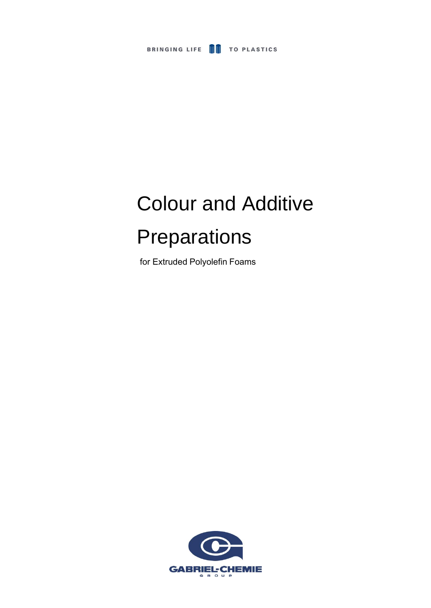

# Colour and Additive Preparations

for Extruded Polyolefin Foams

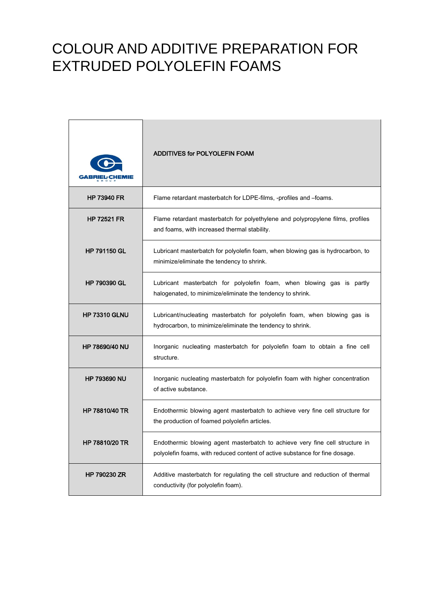|                       | <b>ADDITIVES for POLYOLEFIN FOAM</b>                                                                                                                        |
|-----------------------|-------------------------------------------------------------------------------------------------------------------------------------------------------------|
| <b>HP 73940 FR</b>    | Flame retardant masterbatch for LDPE-films, -profiles and -foams.                                                                                           |
| <b>HP 72521 FR</b>    | Flame retardant masterbatch for polyethylene and polypropylene films, profiles<br>and foams, with increased thermal stability.                              |
| <b>HP 791150 GL</b>   | Lubricant masterbatch for polyolefin foam, when blowing gas is hydrocarbon, to<br>minimize/eliminate the tendency to shrink.                                |
| <b>HP 790390 GL</b>   | Lubricant masterbatch for polyolefin foam, when blowing gas is partly<br>halogenated, to minimize/eliminate the tendency to shrink.                         |
| <b>HP 73310 GLNU</b>  | Lubricant/nucleating masterbatch for polyolefin foam, when blowing gas is<br>hydrocarbon, to minimize/eliminate the tendency to shrink.                     |
| <b>HP 78690/40 NU</b> | Inorganic nucleating masterbatch for polyolefin foam to obtain a fine cell<br>structure.                                                                    |
| <b>HP 793690 NU</b>   | Inorganic nucleating masterbatch for polyolefin foam with higher concentration<br>of active substance.                                                      |
| <b>HP 78810/40 TR</b> | Endothermic blowing agent masterbatch to achieve very fine cell structure for<br>the production of foamed polyolefin articles.                              |
| HP 78810/20 TR        | Endothermic blowing agent masterbatch to achieve very fine cell structure in<br>polyolefin foams, with reduced content of active substance for fine dosage. |
| <b>HP 790230 ZR</b>   | Additive masterbatch for regulating the cell structure and reduction of thermal<br>conductivity (for polyolefin foam).                                      |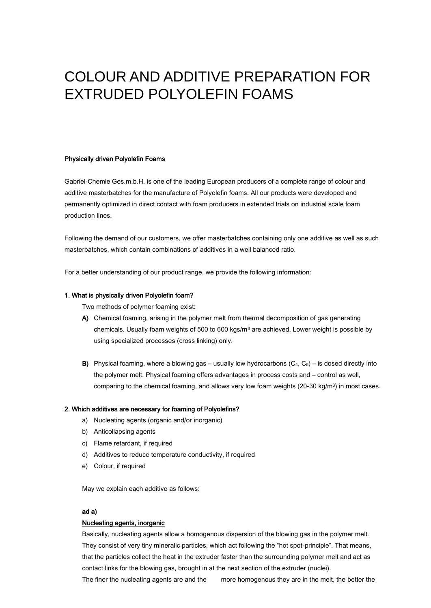#### Physically driven Polyolefin Foams

Gabriel-Chemie Ges.m.b.H. is one of the leading European producers of a complete range of colour and additive masterbatches for the manufacture of Polyolefin foams. All our products were developed and permanently optimized in direct contact with foam producers in extended trials on industrial scale foam production lines.

Following the demand of our customers, we offer masterbatches containing only one additive as well as such masterbatches, which contain combinations of additives in a well balanced ratio.

For a better understanding of our product range, we provide the following information:

#### 1. What is physically driven Polyolefin foam?

Two methods of polymer foaming exist:

- A) Chemical foaming, arising in the polymer melt from thermal decomposition of gas generating chemicals. Usually foam weights of 500 to 600 kgs/ $m<sup>3</sup>$  are achieved. Lower weight is possible by using specialized processes (cross linking) only.
- B) Physical foaming, where a blowing gas usually low hydrocarbons  $(C_4, C_5)$  is dosed directly into the polymer melt. Physical foaming offers advantages in process costs and – control as well, comparing to the chemical foaming, and allows very low foam weights (20-30 kg/m3) in most cases.

#### 2. Which additives are necessary for foaming of Polyolefins?

- a) Nucleating agents (organic and/or inorganic)
- b) Anticollapsing agents
- c) Flame retardant, if required
- d) Additives to reduce temperature conductivity, if required
- e) Colour, if required

May we explain each additive as follows:

#### ad a)

#### Nucleating agents, inorganic

Basically, nucleating agents allow a homogenous dispersion of the blowing gas in the polymer melt. They consist of very tiny mineralic particles, which act following the "hot spot-principle". That means, that the particles collect the heat in the extruder faster than the surrounding polymer melt and act as contact links for the blowing gas, brought in at the next section of the extruder (nuclei).

The finer the nucleating agents are and the more homogenous they are in the melt, the better the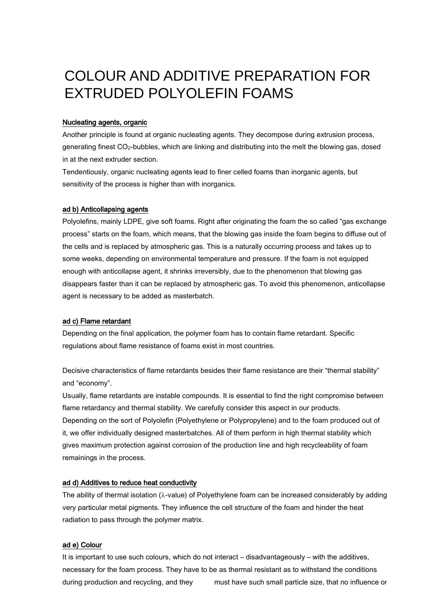#### Nucleating agents, organic

Another principle is found at organic nucleating agents. They decompose during extrusion process, generating finest CO2-bubbles, which are linking and distributing into the melt the blowing gas, dosed in at the next extruder section.

Tendentiously, organic nucleating agents lead to finer celled foams than inorganic agents, but sensitivity of the process is higher than with inorganics.

#### ad b) Anticollapsing agents

Polyolefins, mainly LDPE, give soft foams. Right after originating the foam the so called "gas exchange process" starts on the foam, which means, that the blowing gas inside the foam begins to diffuse out of the cells and is replaced by atmospheric gas. This is a naturally occurring process and takes up to some weeks, depending on environmental temperature and pressure. If the foam is not equipped enough with anticollapse agent, it shrinks irreversibly, due to the phenomenon that blowing gas disappears faster than it can be replaced by atmospheric gas. To avoid this phenomenon, anticollapse agent is necessary to be added as masterbatch.

#### ad c) Flame retardant

Depending on the final application, the polymer foam has to contain flame retardant. Specific regulations about flame resistance of foams exist in most countries.

Decisive characteristics of flame retardants besides their flame resistance are their "thermal stability" and "economy".

Usually, flame retardants are instable compounds. It is essential to find the right compromise between flame retardancy and thermal stability. We carefully consider this aspect in our products. Depending on the sort of Polyolefin (Polyethylene or Polypropylene) and to the foam produced out of it, we offer individually designed masterbatches. All of them perform in high thermal stability which gives maximum protection against corrosion of the production line and high recycleability of foam remainings in the process.

#### ad d) Additives to reduce heat conductivity

The ability of thermal isolation ( $\lambda$ -value) of Polyethylene foam can be increased considerably by adding very particular metal pigments. They influence the cell structure of the foam and hinder the heat radiation to pass through the polymer matrix.

#### ad e) Colour

It is important to use such colours, which do not interact – disadvantageously – with the additives, necessary for the foam process. They have to be as thermal resistant as to withstand the conditions during production and recycling, and they must have such small particle size, that no influence or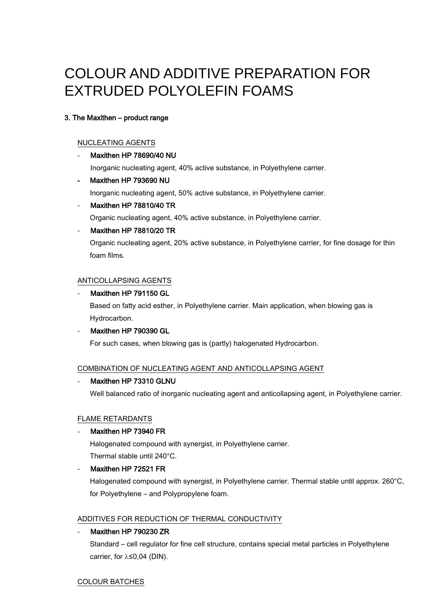### 3. The Maxithen – product range

#### NUCLEATING AGENTS

#### Maxithen HP 78690/40 NU

Inorganic nucleating agent, 40% active substance, in Polyethylene carrier.

#### - Maxithen HP 793690 NU

Inorganic nucleating agent, 50% active substance, in Polyethylene carrier.

#### Maxithen HP 78810/40 TR

Organic nucleating agent, 40% active substance, in Polyethylene carrier.

#### Maxithen HP 78810/20 TR

Organic nucleating agent, 20% active substance, in Polyethylene carrier, for fine dosage for thin foam films.

#### ANTICOLLAPSING AGENTS

#### Maxithen HP 791150 GL

Based on fatty acid esther, in Polyethylene carrier. Main application, when blowing gas is Hydrocarbon.

#### Maxithen HP 790390 GL

For such cases, when blowing gas is (partly) halogenated Hydrocarbon.

#### COMBINATION OF NUCLEATING AGENT AND ANTICOLLAPSING AGENT

#### Maxithen HP 73310 GLNU

Well balanced ratio of inorganic nucleating agent and anticollapsing agent, in Polyethylene carrier.

#### FLAME RETARDANTS

#### Maxithen HP 73940 FR

Halogenated compound with synergist, in Polyethylene carrier. Thermal stable until 240°C.

#### Maxithen HP 72521 FR

Halogenated compound with synergist, in Polyethylene carrier. Thermal stable until approx. 260°C, for Polyethylene – and Polypropylene foam.

#### ADDITIVES FOR REDUCTION OF THERMAL CONDUCTIVITY

#### Maxithen HP 790230 ZR

Standard – cell regulator for fine cell structure, contains special metal particles in Polyethylene carrier, for  $\lambda \leq 0.04$  (DIN).

#### COLOUR BATCHES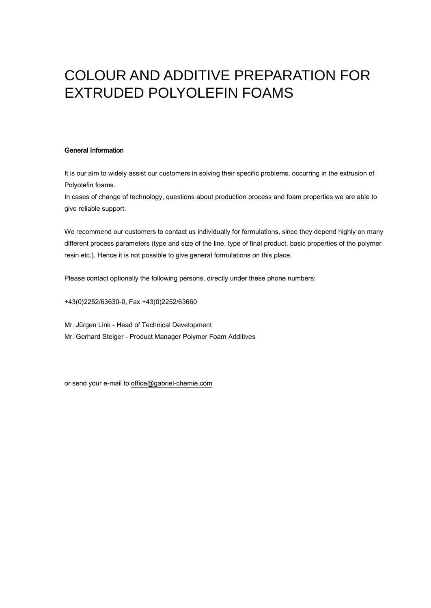#### General Information

It is our aim to widely assist our customers in solving their specific problems, occurring in the extrusion of Polyolefin foams.

In cases of change of technology, questions about production process and foam properties we are able to give reliable support.

We recommend our customers to contact us individually for formulations, since they depend highly on many different process parameters (type and size of the line, type of final product, basic properties of the polymer resin etc.). Hence it is not possible to give general formulations on this place.

Please contact optionally the following persons, directly under these phone numbers:

+43(0)2252/63630-0, Fax +43(0)2252/63660

Mr. Jürgen Link - Head of Technical Development Mr. Gerhard Steiger - Product Manager Polymer Foam Additives

or send your e-mail to office@gabriel-chemie.com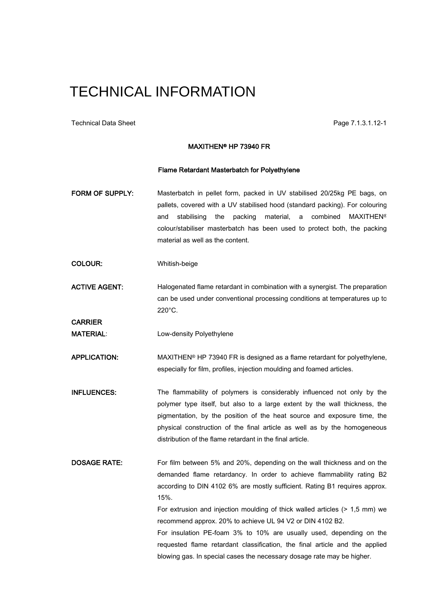Technical Data Sheet Page 7.1.3.1.12-1

CARRIER

#### MAXITHEN® HP 73940 FR

#### Flame Retardant Masterbatch for Polyethylene

- FORM OF SUPPLY: Masterbatch in pellet form, packed in UV stabilised 20/25kg PE bags, on pallets, covered with a UV stabilised hood (standard packing). For colouring and stabilising the packing material, a combined MAXITHEN<sup>®</sup> colour/stabiliser masterbatch has been used to protect both, the packing material as well as the content.
- COLOUR: Whitish-beige
- ACTIVE AGENT: Halogenated flame retardant in combination with a synergist. The preparation can be used under conventional processing conditions at temperatures up to 220°C.

MATERIAL: Low-density Polyethylene

APPLICATION: MAXITHEN® HP 73940 FR is designed as a flame retardant for polyethylene, especially for film, profiles, injection moulding and foamed articles.

- INFLUENCES: The flammability of polymers is considerably influenced not only by the polymer type itself, but also to a large extent by the wall thickness, the pigmentation, by the position of the heat source and exposure time, the physical construction of the final article as well as by the homogeneous distribution of the flame retardant in the final article.
- DOSAGE RATE: For film between 5% and 20%, depending on the wall thickness and on the demanded flame retardancy. In order to achieve flammability rating B2 according to DIN 4102 6% are mostly sufficient. Rating B1 requires approx. 15%.

For extrusion and injection moulding of thick walled articles (> 1,5 mm) we recommend approx. 20% to achieve UL 94 V2 or DIN 4102 B2.

For insulation PE-foam 3% to 10% are usually used, depending on the requested flame retardant classification, the final article and the applied blowing gas. In special cases the necessary dosage rate may be higher.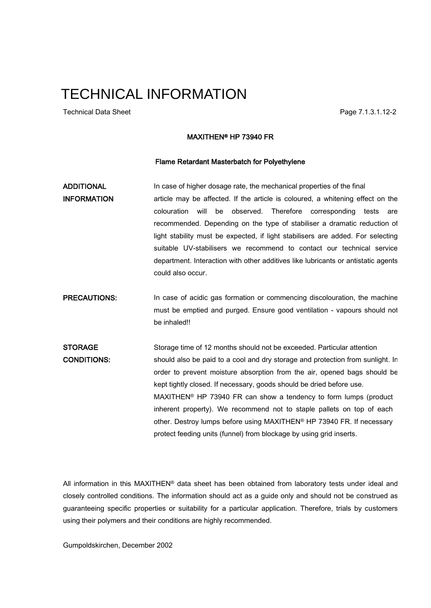Technical Data Sheet **Page 7.1.3.1.12-2** 

#### MAXITHEN® HP 73940 FR

#### Flame Retardant Masterbatch for Polyethylene

ADDITIONAL In case of higher dosage rate, the mechanical properties of the final **INFORMATION** article may be affected. If the article is coloured, a whitening effect on the colouration will be observed. Therefore corresponding tests are recommended. Depending on the type of stabiliser a dramatic reduction of light stability must be expected, if light stabilisers are added. For selecting suitable UV-stabilisers we recommend to contact our technical service department. Interaction with other additives like lubricants or antistatic agents could also occur.

**PRECAUTIONS:** In case of acidic gas formation or commencing discolouration, the machine must be emptied and purged. Ensure good ventilation - vapours should not be inhaled!!

STORAGE Storage time of 12 months should not be exceeded. Particular attention CONDITIONS: should also be paid to a cool and dry storage and protection from sunlight. In order to prevent moisture absorption from the air, opened bags should be kept tightly closed. If necessary, goods should be dried before use. MAXITHEN® HP 73940 FR can show a tendency to form lumps (product inherent property). We recommend not to staple pallets on top of each other. Destroy lumps before using MAXITHEN® HP 73940 FR. If necessary protect feeding units (funnel) from blockage by using grid inserts.

All information in this MAXITHEN® data sheet has been obtained from laboratory tests under ideal and closely controlled conditions. The information should act as a guide only and should not be construed as guaranteeing specific properties or suitability for a particular application. Therefore, trials by customers using their polymers and their conditions are highly recommended.

Gumpoldskirchen, December 2002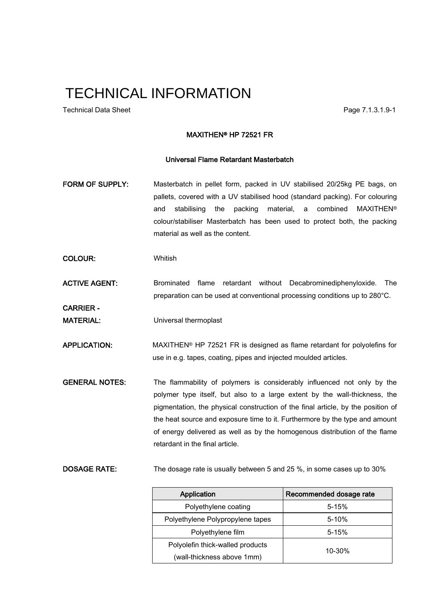Technical Data Sheet **Page 7.1.3.1.9-1** Page 7.1.3.1.9-1

#### MAXITHEN® HP 72521 FR

#### Universal Flame Retardant Masterbatch

- FORM OF SUPPLY: Masterbatch in pellet form, packed in UV stabilised 20/25kg PE bags, on pallets, covered with a UV stabilised hood (standard packing). For colouring and stabilising the packing material, a combined MAXITHEN® colour/stabiliser Masterbatch has been used to protect both, the packing material as well as the content.
- COLOUR: Whitish

ACTIVE AGENT: Brominated flame retardant without Decabrominediphenyloxide. The preparation can be used at conventional processing conditions up to 280°C.

CARRIER -

MATERIAL: Universal thermoplast

APPLICATION: MAXITHEN® HP 72521 FR is designed as flame retardant for polyolefins for use in e.g. tapes, coating, pipes and injected moulded articles.

GENERAL NOTES: The flammability of polymers is considerably influenced not only by the polymer type itself, but also to a large extent by the wall-thickness, the pigmentation, the physical construction of the final article, by the position of the heat source and exposure time to it. Furthermore by the type and amount of energy delivered as well as by the homogenous distribution of the flame retardant in the final article.

DOSAGE RATE: The dosage rate is usually between 5 and 25 %, in some cases up to 30%

| Application                      | Recommended dosage rate |
|----------------------------------|-------------------------|
| Polyethylene coating             | $5 - 15%$               |
| Polyethylene Polypropylene tapes | $5 - 10%$               |
| Polyethylene film                | $5 - 15%$               |
| Polyolefin thick-walled products | $10 - 30%$              |
| (wall-thickness above 1mm)       |                         |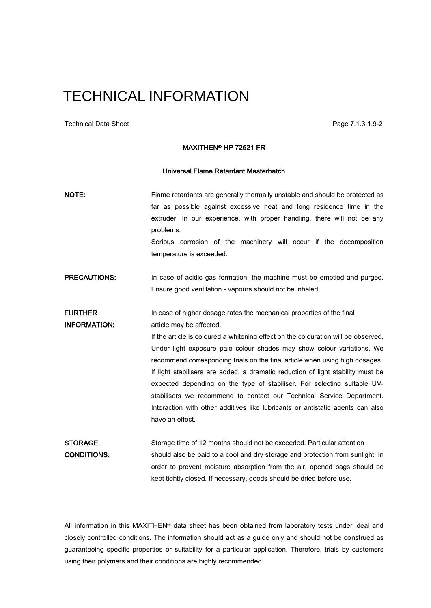Technical Data Sheet Page 7.1.3.1.9-2

#### MAXITHEN® HP 72521 FR

#### Universal Flame Retardant Masterbatch

| NOTE:               | Flame retardants are generally thermally unstable and should be protected as<br>far as possible against excessive heat and long residence time in the<br>extruder. In our experience, with proper handling, there will not be any<br>problems.<br>Serious corrosion of the machinery will occur if the decomposition<br>temperature is exceeded. |
|---------------------|--------------------------------------------------------------------------------------------------------------------------------------------------------------------------------------------------------------------------------------------------------------------------------------------------------------------------------------------------|
| <b>PRECAUTIONS:</b> | In case of acidic gas formation, the machine must be emptied and purged.<br>Ensure good ventilation - vapours should not be inhaled.                                                                                                                                                                                                             |
| <b>FURTHER</b>      | In case of higher dosage rates the mechanical properties of the final                                                                                                                                                                                                                                                                            |
| <b>INFORMATION:</b> | article may be affected.                                                                                                                                                                                                                                                                                                                         |
|                     | If the article is coloured a whitening effect on the colouration will be observed.                                                                                                                                                                                                                                                               |
|                     | Under light exposure pale colour shades may show colour variations. We                                                                                                                                                                                                                                                                           |
|                     | recommend corresponding trials on the final article when using high dosages.                                                                                                                                                                                                                                                                     |
|                     | If light stabilisers are added, a dramatic reduction of light stability must be                                                                                                                                                                                                                                                                  |
|                     | expected depending on the type of stabiliser. For selecting suitable UV-                                                                                                                                                                                                                                                                         |
|                     | stabilisers we recommend to contact our Technical Service Department.                                                                                                                                                                                                                                                                            |
|                     | Interaction with other additives like lubricants or antistatic agents can also                                                                                                                                                                                                                                                                   |
|                     | have an effect.                                                                                                                                                                                                                                                                                                                                  |
| <b>STORAGE</b>      | Storage time of 12 months should not be exceeded. Particular attention                                                                                                                                                                                                                                                                           |
| <b>CONDITIONS:</b>  | should also be paid to a cool and dry storage and protection from sunlight. In                                                                                                                                                                                                                                                                   |
|                     | order to prevent moisture absorption from the air, opened bags should be                                                                                                                                                                                                                                                                         |
|                     | kept tightly closed. If necessary, goods should be dried before use.                                                                                                                                                                                                                                                                             |

All information in this MAXITHEN® data sheet has been obtained from laboratory tests under ideal and closely controlled conditions. The information should act as a guide only and should not be construed as guaranteeing specific properties or suitability for a particular application. Therefore, trials by customers using their polymers and their conditions are highly recommended.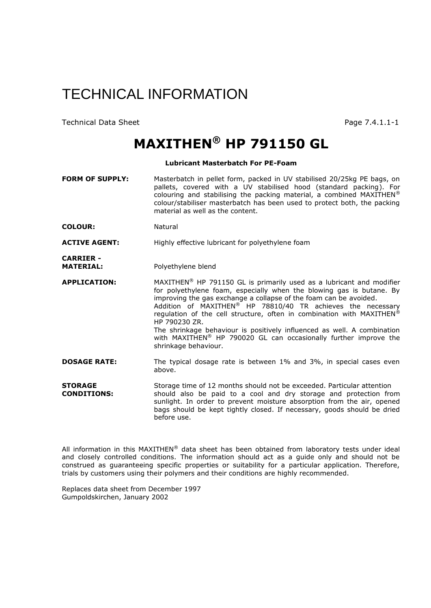Technical Data Sheet **Page 7.4.1.1-1** 

### **MAXITHEN® HP 791150 GL**

#### **Lubricant Masterbatch For PE-Foam**

**FORM OF SUPPLY:** Masterbatch in pellet form, packed in UV stabilised 20/25kg PE bags, on pallets, covered with a UV stabilised hood (standard packing). For colouring and stabilising the packing material, a combined MAXITHEN<sup>®</sup> colour/stabiliser masterbatch has been used to protect both, the packing material as well as the content.

**COLOUR:** Natural

**ACTIVE AGENT:** Highly effective lubricant for polyethylene foam

**CARRIER -** Polyethylene blend

**APPLICATION:** MAXITHEN® HP 791150 GL is primarily used as a lubricant and modifier for polyethylene foam, especially when the blowing gas is butane. By improving the gas exchange a collapse of the foam can be avoided. Addition of MAXITHEN® HP 78810/40 TR achieves the necessary regulation of the cell structure, often in combination with MAXITHEN® HP 790230 ZR. The shrinkage behaviour is positively influenced as well. A combination with MAXITHEN<sup>®</sup> HP 790020 GL can occasionally further improve the shrinkage behaviour.

**DOSAGE RATE:** The typical dosage rate is between 1% and 3%, in special cases even above.

**STORAGE** Storage time of 12 months should not be exceeded. Particular attention **CONDITIONS:** should also be paid to a cool and dry storage and protection from sunlight. In order to prevent moisture absorption from the air, opened bags should be kept tightly closed. If necessary, goods should be dried before use.

All information in this MAXITHEN® data sheet has been obtained from laboratory tests under ideal and closely controlled conditions. The information should act as a guide only and should not be construed as guaranteeing specific properties or suitability for a particular application. Therefore, trials by customers using their polymers and their conditions are highly recommended.

Replaces data sheet from December 1997 Gumpoldskirchen, January 2002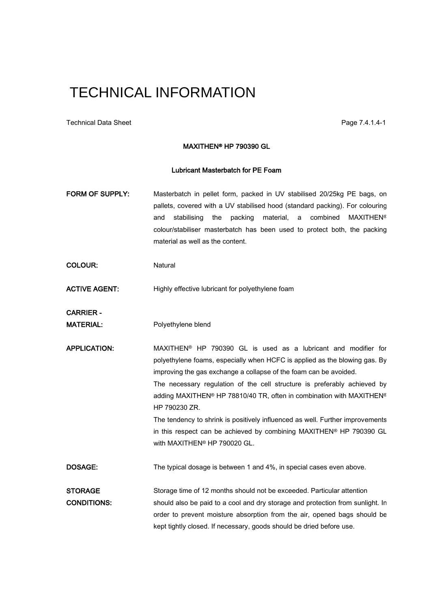Technical Data Sheet **Page 7.4.1.4-1** 

#### MAXITHEN® HP 790390 GL

#### Lubricant Masterbatch for PE Foam

FORM OF SUPPLY: Masterbatch in pellet form, packed in UV stabilised 20/25kg PE bags, on pallets, covered with a UV stabilised hood (standard packing). For colouring and stabilising the packing material, a combined MAXITHEN® colour/stabiliser masterbatch has been used to protect both, the packing material as well as the content.

COLOUR: Natural

ACTIVE AGENT: Highly effective lubricant for polyethylene foam

CARRIER -

MATERIAL: Polyethylene blend

APPLICATION: MAXITHEN<sup>®</sup> HP 790390 GL is used as a lubricant and modifier for polyethylene foams, especially when HCFC is applied as the blowing gas. By improving the gas exchange a collapse of the foam can be avoided. The necessary regulation of the cell structure is preferably achieved by adding MAXITHEN® HP 78810/40 TR, often in combination with MAXITHEN® HP 790230 ZR. The tendency to shrink is positively influenced as well. Further improvements

in this respect can be achieved by combining MAXITHEN® HP 790390 GL with MAXITHEN® HP 790020 GL.

DOSAGE: The typical dosage is between 1 and 4%, in special cases even above.

STORAGE Storage time of 12 months should not be exceeded. Particular attention CONDITIONS: should also be paid to a cool and dry storage and protection from sunlight. In order to prevent moisture absorption from the air, opened bags should be kept tightly closed. If necessary, goods should be dried before use.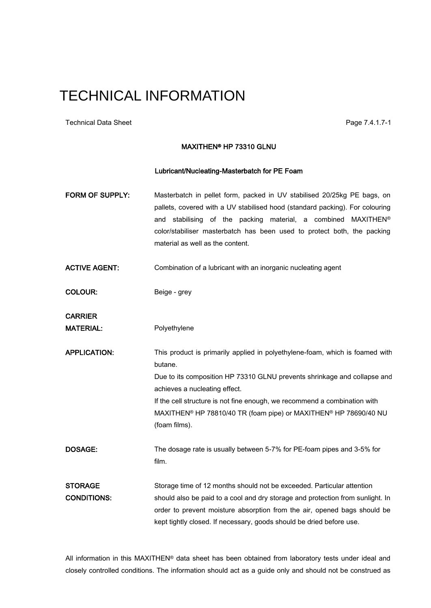Technical Data Sheet **Page 7.4.1.7-1** Page 7.4.1.7-1

#### MAXITHEN® HP 73310 GLNU

#### Lubricant/Nucleating-Masterbatch for PE Foam

FORM OF SUPPLY: Masterbatch in pellet form, packed in UV stabilised 20/25kg PE bags, on pallets, covered with a UV stabilised hood (standard packing). For colouring and stabilising of the packing material, a combined MAXITHEN® color/stabiliser masterbatch has been used to protect both, the packing material as well as the content.

ACTIVE AGENT: Combination of a lubricant with an inorganic nucleating agent

COLOUR: Beige - grey

CARRIER

MATERIAL: Polyethylene

APPLICATION: This product is primarily applied in polyethylene-foam, which is foamed with butane.

Due to its composition HP 73310 GLNU prevents shrinkage and collapse and achieves a nucleating effect.

If the cell structure is not fine enough, we recommend a combination with MAXITHEN® HP 78810/40 TR (foam pipe) or MAXITHEN® HP 78690/40 NU (foam films).

DOSAGE: The dosage rate is usually between 5-7% for PE-foam pipes and 3-5% for film.

STORAGE Storage time of 12 months should not be exceeded. Particular attention CONDITIONS: should also be paid to a cool and dry storage and protection from sunlight. In order to prevent moisture absorption from the air, opened bags should be kept tightly closed. If necessary, goods should be dried before use.

All information in this MAXITHEN® data sheet has been obtained from laboratory tests under ideal and closely controlled conditions. The information should act as a guide only and should not be construed as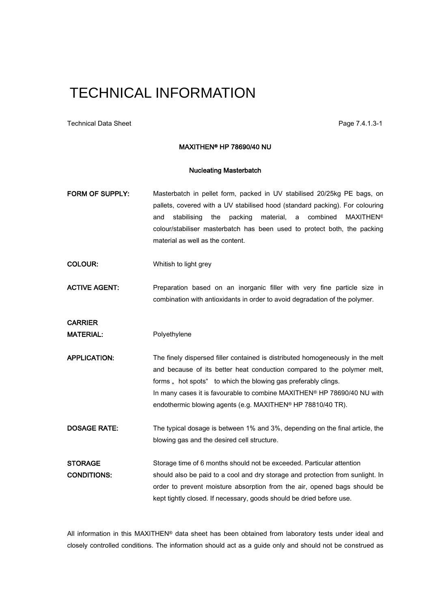Technical Data Sheet **Page 7.4.1.3-1** 

#### MAXITHEN® HP 78690/40 NU

#### Nucleating Masterbatch

- FORM OF SUPPLY: Masterbatch in pellet form, packed in UV stabilised 20/25kg PE bags, on pallets, covered with a UV stabilised hood (standard packing). For colouring and stabilising the packing material, a combined MAXITHEN<sup>®</sup> colour/stabiliser masterbatch has been used to protect both, the packing material as well as the content.
- COLOUR: Whitish to light grey
- ACTIVE AGENT: Preparation based on an inorganic filler with very fine particle size in combination with antioxidants in order to avoid degradation of the polymer.

**CARRIER** 

MATERIAL: Polyethylene

APPLICATION: The finely dispersed filler contained is distributed homogeneously in the melt and because of its better heat conduction compared to the polymer melt, The finely dispersed filler contained is distributed homogeneour and because of its better heat conduction compared to the forms , hot spots" to which the blowing gas preferably clings. In many cases it is favourable to combine MAXITHEN® HP 78690/40 NU with endothermic blowing agents (e.g. MAXITHEN® HP 78810/40 TR).

DOSAGE RATE: The typical dosage is between 1% and 3%, depending on the final article, the blowing gas and the desired cell structure.

STORAGE Storage time of 6 months should not be exceeded. Particular attention CONDITIONS: should also be paid to a cool and dry storage and protection from sunlight. In order to prevent moisture absorption from the air, opened bags should be kept tightly closed. If necessary, goods should be dried before use.

All information in this MAXITHEN® data sheet has been obtained from laboratory tests under ideal and closely controlled conditions. The information should act as a guide only and should not be construed as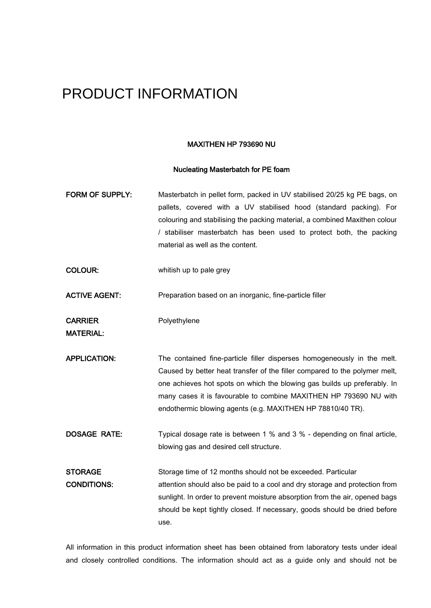### PRODUCT INFORMATION

#### MAXITHEN HP 793690 NU

#### Nucleating Masterbatch for PE foam

| FORM OF SUPPLY:                      | Masterbatch in pellet form, packed in UV stabilised 20/25 kg PE bags, on<br>pallets, covered with a UV stabilised hood (standard packing). For<br>colouring and stabilising the packing material, a combined Maxithen colour<br>/ stabiliser masterbatch has been used to protect both, the packing<br>material as well as the content.                              |
|--------------------------------------|----------------------------------------------------------------------------------------------------------------------------------------------------------------------------------------------------------------------------------------------------------------------------------------------------------------------------------------------------------------------|
| <b>COLOUR:</b>                       | whitish up to pale grey                                                                                                                                                                                                                                                                                                                                              |
| <b>ACTIVE AGENT:</b>                 | Preparation based on an inorganic, fine-particle filler                                                                                                                                                                                                                                                                                                              |
| <b>CARRIER</b><br><b>MATERIAL:</b>   | Polyethylene                                                                                                                                                                                                                                                                                                                                                         |
| <b>APPLICATION:</b>                  | The contained fine-particle filler disperses homogeneously in the melt.<br>Caused by better heat transfer of the filler compared to the polymer melt,<br>one achieves hot spots on which the blowing gas builds up preferably. In<br>many cases it is favourable to combine MAXITHEN HP 793690 NU with<br>endothermic blowing agents (e.g. MAXITHEN HP 78810/40 TR). |
| <b>DOSAGE RATE:</b>                  | Typical dosage rate is between 1 % and 3 % - depending on final article,<br>blowing gas and desired cell structure.                                                                                                                                                                                                                                                  |
| <b>STORAGE</b><br><b>CONDITIONS:</b> | Storage time of 12 months should not be exceeded. Particular<br>attention should also be paid to a cool and dry storage and protection from<br>sunlight. In order to prevent moisture absorption from the air, opened bags<br>should be kept tightly closed. If necessary, goods should be dried before<br>use.                                                      |

All information in this product information sheet has been obtained from laboratory tests under ideal and closely controlled conditions. The information should act as a guide only and should not be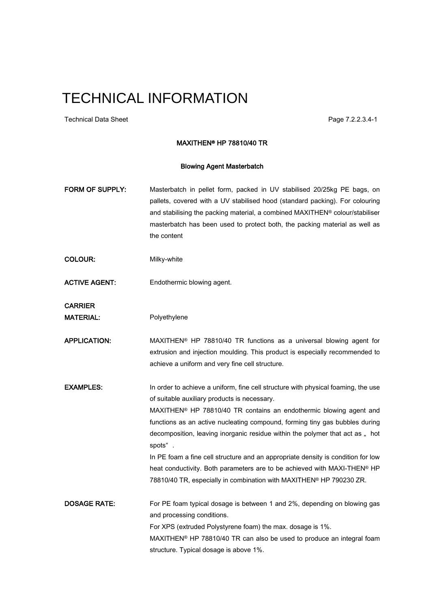Technical Data Sheet Page 7.2.2.3.4-1

#### MAXITHEN® HP 78810/40 TR

#### Blowing Agent Masterbatch

- FORM OF SUPPLY: Masterbatch in pellet form, packed in UV stabilised 20/25kg PE bags, on pallets, covered with a UV stabilised hood (standard packing). For colouring and stabilising the packing material, a combined MAXITHEN® colour/stabiliser masterbatch has been used to protect both, the packing material as well as the content
- COLOUR: Milky-white
- ACTIVE AGENT: Endothermic blowing agent.

**CARRIER** 

MATERIAL: Polyethylene

APPLICATION: MAXITHEN<sup>®</sup> HP 78810/40 TR functions as a universal blowing agent for extrusion and injection moulding. This product is especially recommended to achieve a uniform and very fine cell structure.

**EXAMPLES:** In order to achieve a uniform, fine cell structure with physical foaming, the use of suitable auxiliary products is necessary.

MAXITHEN® HP 78810/40 TR contains an endothermic blowing agent and functions as an active nucleating compound, forming tiny gas bubbles during MAXITHEN® HP 78810/40 TR contains an endothermic blowing agent and<br>functions as an active nucleating compound, forming tiny gas bubbles during<br>decomposition, leaving inorganic residue within the polymer that act as " hot functions as an active<br>decomposition, leaving<br>spots"

In PE foam a fine cell structure and an appropriate density is condition for low heat conductivity. Both parameters are to be achieved with MAXI-THEN® HP 78810/40 TR, especially in combination with MAXITHEN® HP 790230 ZR.

**DOSAGE RATE:** For PE foam typical dosage is between 1 and 2%, depending on blowing gas and processing conditions. For XPS (extruded Polystyrene foam) the max. dosage is 1%. MAXITHEN® HP 78810/40 TR can also be used to produce an integral foam structure. Typical dosage is above 1%.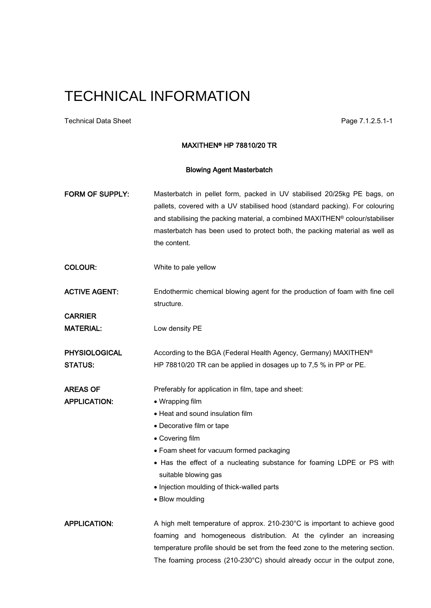Technical Data Sheet **Page 7.1.2.5.1-1** Page 7.1.2.5.1-1

#### MAXITHEN® HP 78810/20 TR

#### Blowing Agent Masterbatch

| FORM OF SUPPLY:                        | Masterbatch in pellet form, packed in UV stabilised 20/25kg PE bags, on<br>pallets, covered with a UV stabilised hood (standard packing). For colouring<br>and stabilising the packing material, a combined MAXITHEN® colour/stabiliser<br>masterbatch has been used to protect both, the packing material as well as<br>the content. |
|----------------------------------------|---------------------------------------------------------------------------------------------------------------------------------------------------------------------------------------------------------------------------------------------------------------------------------------------------------------------------------------|
| <b>COLOUR:</b>                         | White to pale yellow                                                                                                                                                                                                                                                                                                                  |
| <b>ACTIVE AGENT:</b><br><b>CARRIER</b> | Endothermic chemical blowing agent for the production of foam with fine cell<br>structure.                                                                                                                                                                                                                                            |
| <b>MATERIAL:</b>                       | Low density PE                                                                                                                                                                                                                                                                                                                        |
| <b>PHYSIOLOGICAL</b><br><b>STATUS:</b> | According to the BGA (Federal Health Agency, Germany) MAXITHEN®<br>HP 78810/20 TR can be applied in dosages up to 7,5 % in PP or PE.                                                                                                                                                                                                  |
| <b>AREAS OF</b>                        | Preferably for application in film, tape and sheet:                                                                                                                                                                                                                                                                                   |
| <b>APPLICATION:</b>                    | • Wrapping film                                                                                                                                                                                                                                                                                                                       |
|                                        | • Heat and sound insulation film                                                                                                                                                                                                                                                                                                      |
|                                        | • Decorative film or tape                                                                                                                                                                                                                                                                                                             |
|                                        | • Covering film                                                                                                                                                                                                                                                                                                                       |
|                                        | • Foam sheet for vacuum formed packaging                                                                                                                                                                                                                                                                                              |
|                                        | • Has the effect of a nucleating substance for foaming LDPE or PS with<br>suitable blowing gas                                                                                                                                                                                                                                        |
|                                        | • Injection moulding of thick-walled parts                                                                                                                                                                                                                                                                                            |
|                                        | • Blow moulding                                                                                                                                                                                                                                                                                                                       |
| <b>APPLICATION:</b>                    | A high melt temperature of approx. 210-230°C is important to achieve good                                                                                                                                                                                                                                                             |
|                                        | foaming and homogeneous distribution. At the cylinder an increasing                                                                                                                                                                                                                                                                   |
|                                        | temperature profile should be set from the feed zone to the metering section.                                                                                                                                                                                                                                                         |
|                                        | The foaming process (210-230°C) should already occur in the output zone,                                                                                                                                                                                                                                                              |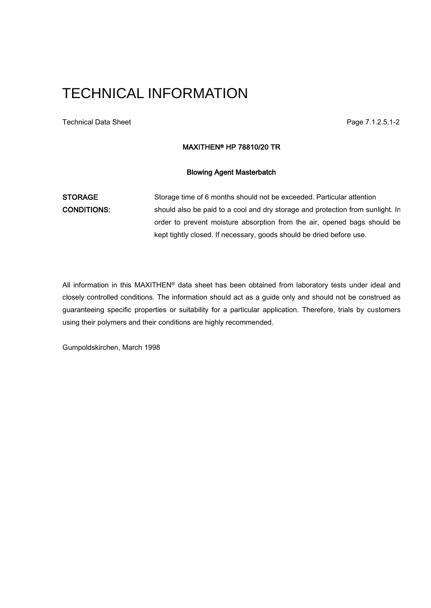Technical Data Sheet **Page 7.1.2.5.1-2** 

### MAXITHEN® HP 78810/20 TR

#### Blowing Agent Masterbatch

STORAGE Storage time of 6 months should not be exceeded. Particular attention CONDITIONS: should also be paid to a cool and dry storage and protection from sunlight. In order to prevent moisture absorption from the air, opened bags should be kept tightly closed. If necessary, goods should be dried before use.

All information in this MAXITHEN® data sheet has been obtained from laboratory tests under ideal and closely controlled conditions. The information should act as a guide only and should not be construed as guaranteeing specific properties or suitability for a particular application. Therefore, trials by customers using their polymers and their conditions are highly recommended.

Gumpoldskirchen, March 1998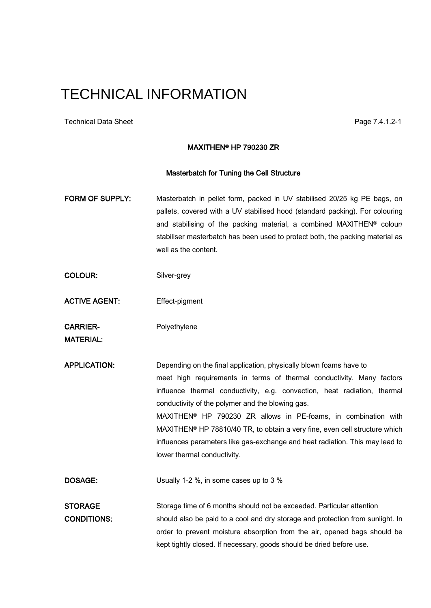Technical Data Sheet **Page 7.4.1.2-1** Page 7.4.1.2-1

#### MAXITHEN® HP 790230 ZR

#### Masterbatch for Tuning the Cell Structure

- FORM OF SUPPLY: Masterbatch in pellet form, packed in UV stabilised 20/25 kg PE bags, on pallets, covered with a UV stabilised hood (standard packing). For colouring and stabilising of the packing material, a combined MAXITHEN® colour/ stabiliser masterbatch has been used to protect both, the packing material as well as the content.
- COLOUR: Silver-grey
- ACTIVE AGENT: Effect-pigment

CARRIER-<br>
Polyethylene

MATERIAL:

APPLICATION: Depending on the final application, physically blown foams have to meet high requirements in terms of thermal conductivity. Many factors influence thermal conductivity, e.g. convection, heat radiation, thermal conductivity of the polymer and the blowing gas. MAXITHEN® HP 790230 ZR allows in PE-foams, in combination with MAXITHEN® HP 78810/40 TR, to obtain a very fine, even cell structure which influences parameters like gas-exchange and heat radiation. This may lead to lower thermal conductivity.

DOSAGE: Usually 1-2 %, in some cases up to 3 %

STORAGE Storage time of 6 months should not be exceeded. Particular attention CONDITIONS: should also be paid to a cool and dry storage and protection from sunlight. In order to prevent moisture absorption from the air, opened bags should be kept tightly closed. If necessary, goods should be dried before use.